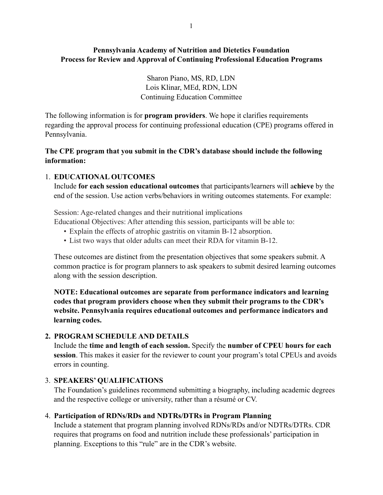# **Pennsylvania Academy of Nutrition and Dietetics Foundation Process for Review and Approval of Continuing Professional Education Programs**

Sharon Piano, MS, RD, LDN Lois Klinar, MEd, RDN, LDN Continuing Education Committee

The following information is for **program providers**. We hope it clarifies requirements regarding the approval process for continuing professional education (CPE) programs offered in Pennsylvania.

### **The CPE program that you submit in the CDR's database should include the following information:**

### 1. **EDUCATIONAL OUTCOMES**

 Include **for each session educational outcomes** that participants/learners will a**chieve** by the end of the session. Use action verbs/behaviors in writing outcomes statements. For example:

Session: Age-related changes and their nutritional implications Educational Objectives: After attending this session, participants will be able to:

- Explain the effects of atrophic gastritis on vitamin B-12 absorption.
- List two ways that older adults can meet their RDA for vitamin B-12.

These outcomes are distinct from the presentation objectives that some speakers submit. A common practice is for program planners to ask speakers to submit desired learning outcomes along with the session description.

**NOTE: Educational outcomes are separate from performance indicators and learning codes that program providers choose when they submit their programs to the CDR's website. Pennsylvania requires educational outcomes and performance indicators and learning codes.** 

### **2. PROGRAM SCHEDULE AND DETAILS**

 Include the **time and length of each session.** Specify the **number of CPEU hours for each session**. This makes it easier for the reviewer to count your program's total CPEUs and avoids errors in counting.

# 3. **SPEAKERS' QUALIFICATIONS**

The Foundation's guidelines recommend submitting a biography, including academic degrees and the respective college or university, rather than a résumé or CV.

# 4. **Participation of RDNs/RDs and NDTRs/DTRs in Program Planning**

Include a statement that program planning involved RDNs/RDs and/or NDTRs/DTRs. CDR requires that programs on food and nutrition include these professionals' participation in planning. Exceptions to this "rule" are in the CDR's website.